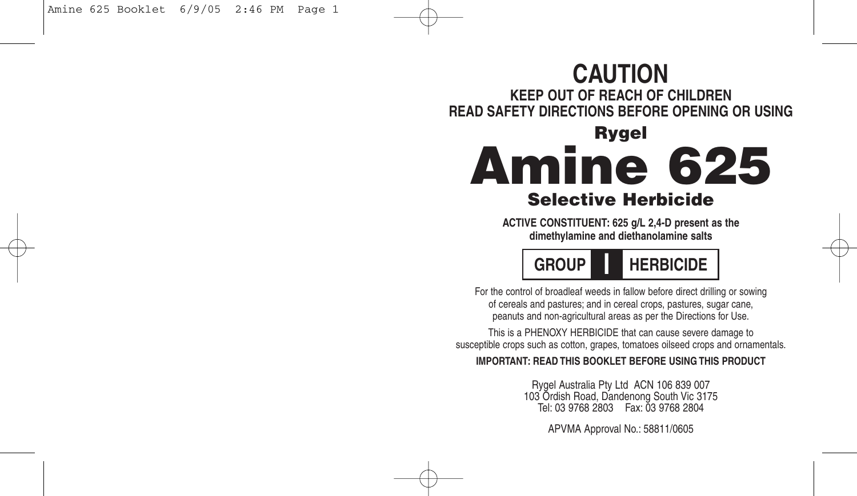Amine 625 Booklet 6/9/05 2:46 PM Page 1

# **Rygel CAUTION KEEP OUT OF REACH OF CHILDREN READ SAFETY DIRECTIONS BEFORE OPENING OR USING**

# **Amine 625**

# **Selective Herbicide**

**ACTIVE CONSTITUENT: 625 g/L 2,4-D present as the dimethylamine and diethanolamine salts**



For the control of broadleaf weeds in fallow before direct drilling or sowing of cereals and pastures; and in cereal crops, pastures, sugar cane, peanuts and non-agricultural areas as per the Directions for Use.

This is a PHENOXY HERBICIDE that can cause severe damage to susceptible crops such as cotton, grapes, tomatoes oilseed crops and ornamentals.

#### **IMPORTANT: READ THIS BOOKLET BEFORE USING THIS PRODUCT**

Rygel Australia Pty Ltd ACN 106 839 007 103 Ordish Road, Dandenong South Vic 3175 Tel: 03 9768 2803 Fax: 03 9768 2804

APVMA Approval No.: 58811/0605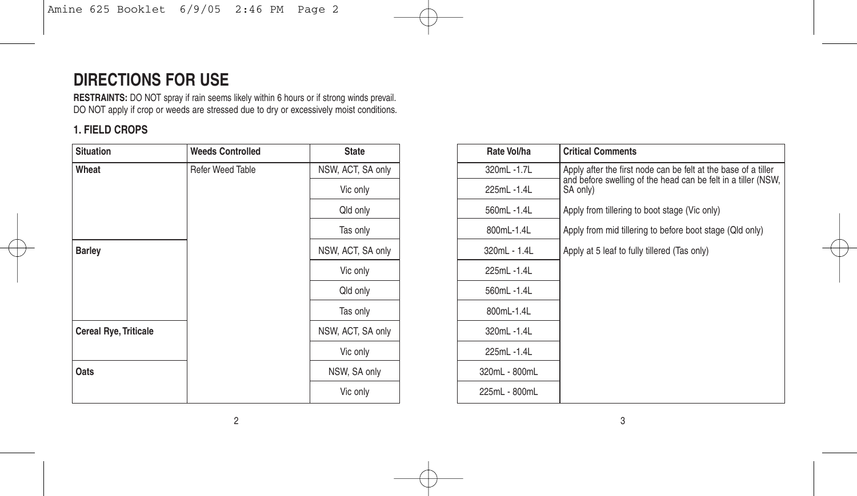# **DIRECTIONS FOR USE**

**RESTRAINTS:** DO NOT spray if rain seems likely within 6 hours or if strong winds prevail. DO NOT apply if crop or weeds are stressed due to dry or excessively moist conditions.

#### **1. FIELD CROPS**

| <b>Situation</b>      | <b>Weeds Controlled</b> | <b>State</b>      | Rate Vol/ha   | <b>Critical Comments</b>                                                                                                        |
|-----------------------|-------------------------|-------------------|---------------|---------------------------------------------------------------------------------------------------------------------------------|
| Wheat                 | Refer Weed Table        | NSW, ACT, SA only | 320mL-1.7L    | Apply after the first node can be felt at the base of a tiller<br>and before swelling of the head can be felt in a tiller (NSW, |
|                       |                         | Vic only          | 225mL-1.4L    | SA only)                                                                                                                        |
|                       |                         | Qld only          | 560mL-1.4L    | Apply from tillering to boot stage (Vic only)                                                                                   |
|                       |                         | Tas only          | 800mL-1.4L    | Apply from mid tillering to before boot stage (Qld only)                                                                        |
| <b>Barley</b>         |                         | NSW, ACT, SA only | 320mL - 1.4L  | Apply at 5 leaf to fully tillered (Tas only)                                                                                    |
|                       |                         | Vic only          | 225mL -1.4L   |                                                                                                                                 |
|                       |                         | Qld only          | 560mL -1.4L   |                                                                                                                                 |
|                       |                         | Tas only          | 800mL-1.4L    |                                                                                                                                 |
| Cereal Rye, Triticale |                         | NSW, ACT, SA only | 320mL -1.4L   |                                                                                                                                 |
|                       |                         | Vic only          | 225mL-1.4L    |                                                                                                                                 |
| Oats                  |                         | NSW, SA only      | 320mL - 800mL |                                                                                                                                 |
|                       |                         | Vic only          | 225mL - 800mL |                                                                                                                                 |

 $2 \times 3$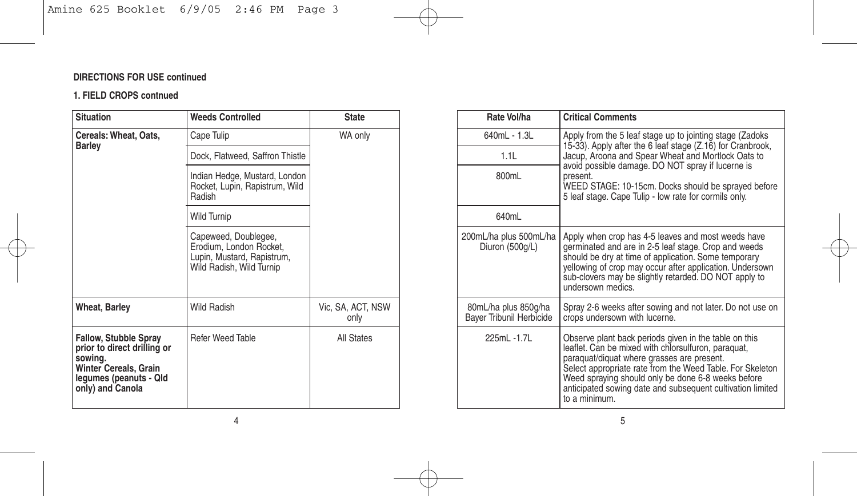#### **1. FIELD CROPS contnued**

| <b>Situation</b>                                                                                                                                     | <b>Weeds Controlled</b>                                                                                   | <b>State</b>              | Rate Vol/ha                                      | <b>Critical Comments</b>                                                                                                                                 |
|------------------------------------------------------------------------------------------------------------------------------------------------------|-----------------------------------------------------------------------------------------------------------|---------------------------|--------------------------------------------------|----------------------------------------------------------------------------------------------------------------------------------------------------------|
| Cereals: Wheat, Oats,                                                                                                                                | Cape Tulip                                                                                                | WA only                   | 640mL - 1.3L                                     | Apply from the 5 lea                                                                                                                                     |
| <b>Barley</b>                                                                                                                                        | Dock, Flatweed, Saffron Thistle                                                                           |                           | 1.1L                                             | 15-33). Apply after t<br>Jacup, Aroona and                                                                                                               |
|                                                                                                                                                      | Indian Hedge, Mustard, London<br>Rocket, Lupin, Rapistrum, Wild<br>Radish                                 |                           | 800mL                                            | avoid possible dama<br>present.<br>WEED STAGE: 10-1<br>5 leaf stage. Cape T                                                                              |
|                                                                                                                                                      | <b>Wild Turnip</b>                                                                                        |                           | 640mL                                            |                                                                                                                                                          |
|                                                                                                                                                      | Capeweed, Doublegee,<br>Erodium, London Rocket,<br>Lupin, Mustard, Rapistrum,<br>Wild Radish, Wild Turnip |                           | 200mL/ha plus 500mL/ha<br>Diuron (500g/L)        | Apply when crop ha<br>germinated and are<br>should be dry at tim<br>yellowing of crop ma<br>sub-clovers may be<br>undersown medics.                      |
| <b>Wheat, Barley</b>                                                                                                                                 | <b>Wild Radish</b>                                                                                        | Vic, SA, ACT, NSW<br>only | 80mL/ha plus 850g/ha<br>Bayer Tribunil Herbicide | Spray 2-6 weeks aft<br>crops undersown wi                                                                                                                |
| <b>Fallow, Stubble Spray</b><br>prior to direct drilling or<br>sowina.<br><b>Winter Cereals, Grain</b><br>legumes (peanuts - Qld<br>only) and Canola | <b>Refer Weed Table</b>                                                                                   | All States                | 225mL-1.7L                                       | Observe plant back<br>leaflet. Can be mixe<br>paraquat/diquat whe<br>Select appropriate r<br>Weed spraying shou<br>anticipated sowing o<br>to a minimum. |

| Rate Vol/ha                                      | <b>Critical Comments</b>                                                                                                                                                                                                                                                                                                                                     |
|--------------------------------------------------|--------------------------------------------------------------------------------------------------------------------------------------------------------------------------------------------------------------------------------------------------------------------------------------------------------------------------------------------------------------|
| $640ml - 1.3l$                                   | Apply from the 5 leaf stage up to jointing stage (Zadoks)<br>15-33). Apply after the 6 leaf stage (Z.16) for Cranbrook,                                                                                                                                                                                                                                      |
| 1.1L                                             | Jacup, Aroona and Spear Wheat and Mortlock Oats to                                                                                                                                                                                                                                                                                                           |
| 800mL                                            | avoid possible damage. DO NOT spray if lucerne is<br>present.<br>WEED STAGE: 10-15cm. Docks should be sprayed before<br>5 leaf stage. Cape Tulip - low rate for cormils only.                                                                                                                                                                                |
| 640mL                                            |                                                                                                                                                                                                                                                                                                                                                              |
| 200mL/ha plus 500mL/ha<br>Diuron (500g/L)        | Apply when crop has 4-5 leaves and most weeds have<br>germinated and are in 2-5 leaf stage. Crop and weeds<br>should be dry at time of application. Some temporary<br>yellowing of crop may occur after application. Undersown<br>sub-clovers may be slightly retarded. DO NOT apply to<br>undersown medics                                                  |
| 80mL/ha plus 850g/ha<br>Bayer Tribunil Herbicide | Spray 2-6 weeks after sowing and not later. Do not use on<br>crops undersown with lucerne.                                                                                                                                                                                                                                                                   |
| 225ml -1 7l                                      | Observe plant back periods given in the table on this<br>leaflet. Can be mixed with chlorsulfuron, paraquat,<br>paraquat/diquat where grasses are present.<br>Select appropriate rate from the Weed Table. For Skeleton<br>Weed spraying should only be done 6-8 weeks before<br>anticipated sowing date and subsequent cultivation limited<br>to a minimum. |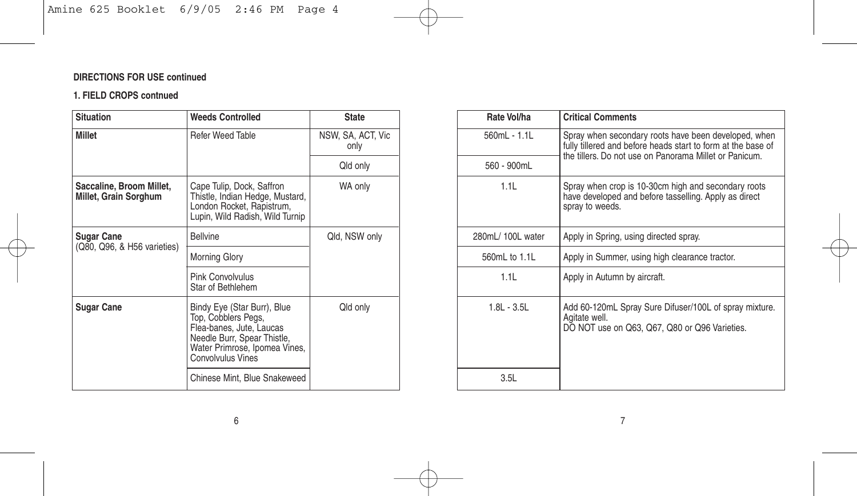#### **1. FIELD CROPS contnued**

| <b>Situation</b>                                  | <b>Weeds Controlled</b>                                                                                                                                             | <b>State</b>              | Rate Vol/ha      | <b>Critical Comments</b>                                              |
|---------------------------------------------------|---------------------------------------------------------------------------------------------------------------------------------------------------------------------|---------------------------|------------------|-----------------------------------------------------------------------|
| <b>Millet</b>                                     | Refer Weed Table                                                                                                                                                    | NSW, SA, ACT, Vic<br>only | 560mL - 1.1L     | Spray when second<br>fully tillered and bef<br>the tillers. Do not us |
|                                                   |                                                                                                                                                                     | Qld only                  | 560 - 900mL      |                                                                       |
| Saccaline, Broom Millet,<br>Millet, Grain Sorghum | Cape Tulip, Dock, Saffron<br>Thistle, Indian Hedge, Mustard,<br>London Rocket, Rapistrum,<br>Lupin, Wild Radish, Wild Turnip                                        | WA only                   | 1.1L             | Spray when crop is<br>have developed and<br>spray to weeds.           |
| <b>Sugar Cane</b>                                 | <b>Bellvine</b>                                                                                                                                                     | Qld, NSW only             | 280mL/100L water | Apply in Spring, usir                                                 |
| (Q80, Q96, & H56 varieties)                       | Morning Glory                                                                                                                                                       |                           | 560mL to 1.1L    | Apply in Summer, u                                                    |
|                                                   | Pink Convolvulus<br>Star of Bethlehem                                                                                                                               |                           | 1.1L             | Apply in Autumn by                                                    |
| <b>Sugar Cane</b>                                 | Bindy Eye (Star Burr), Blue<br>Top, Cobblers Pegs,<br>Flea-banes, Jute, Laucas<br>Needle Burr, Spear Thistle,<br>Water Primrose, Ipomea Vines,<br>Convolvulus Vines | Qld only                  | $1.8L - 3.5L$    | Add 60-120mL Spra<br>Agitate well.<br>DO NOT use on Q6                |
|                                                   | Chinese Mint, Blue Snakeweed                                                                                                                                        |                           | 3.5L             |                                                                       |

| Rate Vol/ha      | <b>Critical Comments</b>                                                                                                                                                       |  |  |  |  |
|------------------|--------------------------------------------------------------------------------------------------------------------------------------------------------------------------------|--|--|--|--|
| 560mL - 1.1L     | Spray when secondary roots have been developed, when<br>fully tillered and before heads start to form at the base of<br>the tillers. Do not use on Panorama Millet or Panicum. |  |  |  |  |
| 560 - 900mL      |                                                                                                                                                                                |  |  |  |  |
| 111              | Spray when crop is 10-30cm high and secondary roots<br>have developed and before tasselling. Apply as direct<br>spray to weeds.                                                |  |  |  |  |
| 280mL/100L water | Apply in Spring, using directed spray.                                                                                                                                         |  |  |  |  |
| 560mL to 1.1L    | Apply in Summer, using high clearance tractor.                                                                                                                                 |  |  |  |  |
| 1.1L             | Apply in Autumn by aircraft.                                                                                                                                                   |  |  |  |  |
| $181 - 351$      | Add 60-120mL Spray Sure Difuser/100L of spray mixture.<br>Agitate well.<br>DO NOT use on Q63, Q67, Q80 or Q96 Varieties.                                                       |  |  |  |  |
| 3.5L             |                                                                                                                                                                                |  |  |  |  |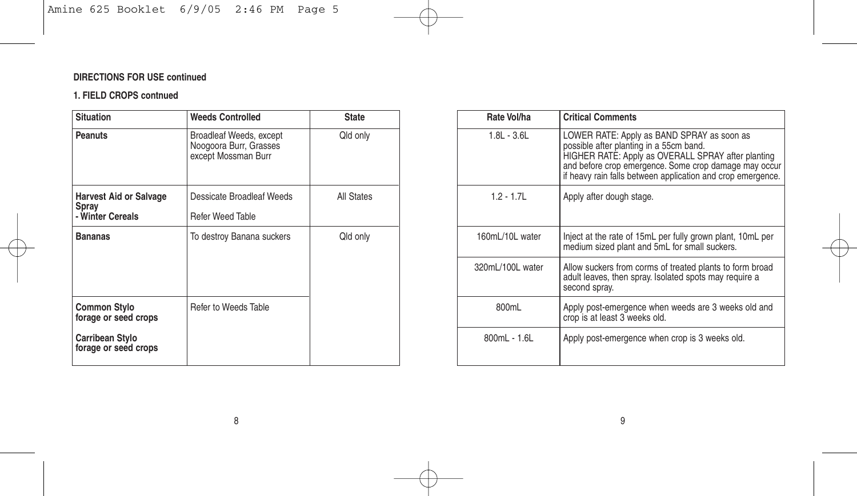#### **1. FIELD CROPS contnued**

| <b>Situation</b>                            | <b>Weeds Controlled</b>                                                  | <b>State</b> | Rate Vol/ha      | <b>Critical Comments</b>                                                                                      |
|---------------------------------------------|--------------------------------------------------------------------------|--------------|------------------|---------------------------------------------------------------------------------------------------------------|
| <b>Peanuts</b>                              | Broadleaf Weeds, except<br>Noogoora Burr, Grasses<br>except Mossman Burr | Qld only     | $1.8L - 3.6L$    | LOWER RATE: App<br>possible after plantir<br>HIGHER RATE: App<br>and before crop em<br>if heavy rain falls be |
| <b>Harvest Aid or Salvage</b><br>Spray      | Dessicate Broadleaf Weeds                                                | All States   | $1.2 - 1.7L$     | Apply after dough st                                                                                          |
| - Winter Cereals                            | <b>Refer Weed Table</b>                                                  |              |                  |                                                                                                               |
| <b>Bananas</b>                              | To destroy Banana suckers                                                | Qld only     | 160mL/10L water  | Inject at the rate of<br>medium sized plant                                                                   |
|                                             |                                                                          |              | 320mL/100L water | Allow suckers from<br>adult leaves, then sp<br>second spray.                                                  |
| <b>Common Stylo</b><br>forage or seed crops | Refer to Weeds Table                                                     |              | 800mL            | Apply post-emerger<br>crop is at least 3 we                                                                   |
| Carribean Stylo<br>forage or seed crops     |                                                                          |              | 800mL - 1.6L     | Apply post-emerger                                                                                            |
|                                             |                                                                          |              |                  |                                                                                                               |

| Rate Vol/ha      | <b>Critical Comments</b>                                                                                                                                                                                                                                            |
|------------------|---------------------------------------------------------------------------------------------------------------------------------------------------------------------------------------------------------------------------------------------------------------------|
| $1.8L - 3.6L$    | LOWER RATE: Apply as BAND SPRAY as soon as<br>possible after planting in a 55cm band.<br>HIGHER RATÉ: Apply as OVERALL SPRAY after planting<br>and before crop emergence. Some crop damage may occur<br>if heavy rain falls between application and crop emergence. |
| $1.2 - 1.7L$     | Apply after dough stage.                                                                                                                                                                                                                                            |
| 160mL/10L water  | Inject at the rate of 15mL per fully grown plant, 10mL per<br>medium sized plant and 5mL for small suckers.                                                                                                                                                         |
| 320mL/100L water | Allow suckers from corms of treated plants to form broad<br>adult leaves, then spray. Isolated spots may require a<br>second spray.                                                                                                                                 |
| 800mL            | Apply post-emergence when weeds are 3 weeks old and<br>crop is at least 3 weeks old.                                                                                                                                                                                |
| 800mL - 1.6L     | Apply post-emergence when crop is 3 weeks old.                                                                                                                                                                                                                      |
|                  |                                                                                                                                                                                                                                                                     |

8 9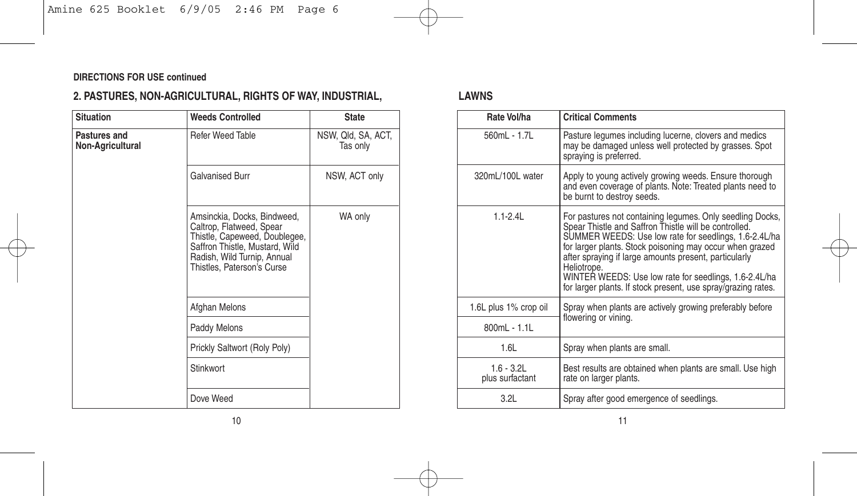### **2. PASTURES, NON-AGRICULTURAL, RIGHTS OF WAY, INDUSTRIAL, LAWNS**

| <b>Situation</b>                 | <b>Weeds Controlled</b>                                                                                                                                                                 | <b>State</b>                   | Rate Vol/ha                     | <b>Critical Comments</b>                                                                                                                                                            |
|----------------------------------|-----------------------------------------------------------------------------------------------------------------------------------------------------------------------------------------|--------------------------------|---------------------------------|-------------------------------------------------------------------------------------------------------------------------------------------------------------------------------------|
| Pastures and<br>Non-Agricultural | <b>Refer Weed Table</b>                                                                                                                                                                 | NSW, Qld, SA, ACT,<br>Tas only | 560mL - 1.7L                    | Pasture legumes in<br>may be damaged ur<br>spraying is preferred                                                                                                                    |
|                                  | <b>Galvanised Burr</b>                                                                                                                                                                  | NSW, ACT only                  | 320mL/100L water                | Apply to young activ<br>and even coverage<br>be burnt to destroy                                                                                                                    |
|                                  | Amsinckia, Docks, Bindweed,<br>Caltrop, Flatweed, Spear<br>Thistle, Capeweed, Doublegee,<br>Saffron Thistle, Mustard, Wild<br>Radish, Wild Turnip, Annual<br>Thistles, Paterson's Curse | WA only                        | $1.1 - 2.4L$                    | For pastures not co<br>Spear Thistle and S<br><b>SUMMER WEEDS:</b><br>for larger plants. Sto<br>after spraying if larg<br>Heliotrope.<br>WINTER WEEDS: U<br>for larger plants. If s |
|                                  | Afghan Melons                                                                                                                                                                           |                                | 1.6L plus 1% crop oil           | Spray when plants a                                                                                                                                                                 |
|                                  | Paddy Melons                                                                                                                                                                            |                                | 800mL - 1.1L                    | flowering or vining.                                                                                                                                                                |
|                                  | Prickly Saltwort (Roly Poly)                                                                                                                                                            |                                | 1.6L                            | Spray when plants a                                                                                                                                                                 |
|                                  | Stinkwort                                                                                                                                                                               |                                | $1.6 - 3.2L$<br>plus surfactant | Best results are obt<br>rate on larger plants                                                                                                                                       |
|                                  | Dove Weed                                                                                                                                                                               |                                | 3.2L                            | Spray after good en                                                                                                                                                                 |
|                                  |                                                                                                                                                                                         |                                |                                 |                                                                                                                                                                                     |

| Rate Vol/ha                     | <b>Critical Comments</b>                                                                                                                                                                                                                                                                                                                                                                                                                  |
|---------------------------------|-------------------------------------------------------------------------------------------------------------------------------------------------------------------------------------------------------------------------------------------------------------------------------------------------------------------------------------------------------------------------------------------------------------------------------------------|
| 560mL - 1.7L                    | Pasture legumes including lucerne, clovers and medics<br>may be damaged unless well protected by grasses. Spot<br>spraying is preferred.                                                                                                                                                                                                                                                                                                  |
| 320mL/100L water                | Apply to young actively growing weeds. Ensure thorough<br>and even coverage of plants. Note: Treated plants need to<br>be burnt to destroy seeds.                                                                                                                                                                                                                                                                                         |
| $11-24$                         | For pastures not containing legumes. Only seedling Docks,<br>Spear Thistle and Saffron Thistle will be controlled.<br>SUMMER WEEDS: Use low rate for seedlings, 1.6-2.4L/ha<br>for larger plants. Stock poisoning may occur when grazed<br>after spraying if large amounts present, particularly<br>Heliotrope.<br>WINTER WEEDS: Use low rate for seedlings, 1.6-2.4L/ha<br>for larger plants. If stock present, use spray/grazing rates. |
| 1.6L plus 1% crop oil           | Spray when plants are actively growing preferably before                                                                                                                                                                                                                                                                                                                                                                                  |
| $800ml - 11l$                   | flowering or vining.                                                                                                                                                                                                                                                                                                                                                                                                                      |
| 1.6L                            | Spray when plants are small.                                                                                                                                                                                                                                                                                                                                                                                                              |
| $1.6 - 3.2L$<br>plus surfactant | Best results are obtained when plants are small. Use high<br>rate on larger plants.                                                                                                                                                                                                                                                                                                                                                       |
| 3.2L                            | Spray after good emergence of seedlings.                                                                                                                                                                                                                                                                                                                                                                                                  |
|                                 |                                                                                                                                                                                                                                                                                                                                                                                                                                           |

 $10$  and  $11$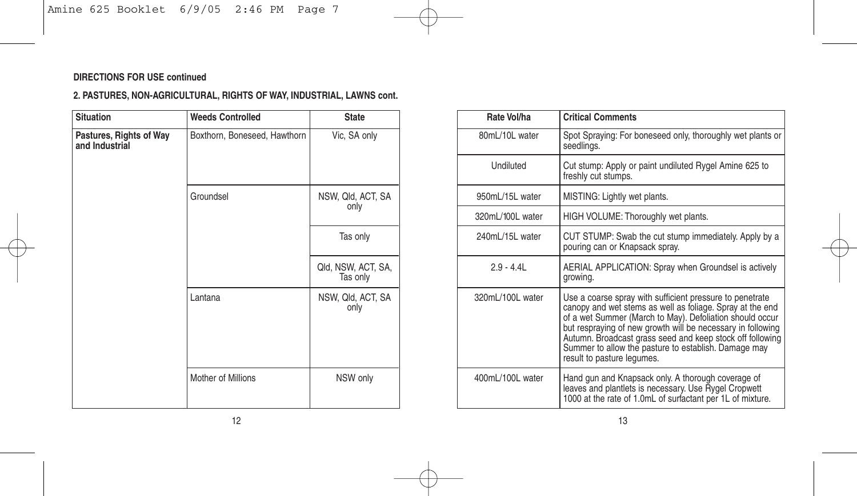#### **2. PASTURES, NON-AGRICULTURAL, RIGHTS OF WAY, INDUSTRIAL, LAWNS cont.**

| Situation                                 | <b>Weeds Controlled</b>      | <b>State</b>                   |  | Rate Vol/ha      | <b>Critical Comments</b>                                                                                                                                     |
|-------------------------------------------|------------------------------|--------------------------------|--|------------------|--------------------------------------------------------------------------------------------------------------------------------------------------------------|
| Pastures, Rights of Way<br>and Industrial | Boxthorn, Boneseed, Hawthorn | Vic, SA only                   |  | 80mL/10L water   | Spot Spraying: For I<br>seedlings.                                                                                                                           |
|                                           |                              |                                |  | Undiluted        | Cut stump: Apply or<br>freshly cut stumps.                                                                                                                   |
|                                           | Groundsel                    | NSW, Qld, ACT, SA<br>only      |  | 950mL/15L water  | MISTING: Lightly we                                                                                                                                          |
|                                           |                              |                                |  | 320mL/100L water | <b>HIGH VOLUME: The</b>                                                                                                                                      |
|                                           |                              | Tas only                       |  | 240mL/15L water  | <b>CUT STUMP: Swab</b><br>pouring can or Knap                                                                                                                |
|                                           |                              | Qld, NSW, ACT, SA,<br>Tas only |  | $2.9 - 4.4L$     | <b>AERIAL APPLICATI</b><br>growing.                                                                                                                          |
|                                           | Lantana                      | NSW, Qld, ACT, SA<br>only      |  | 320mL/100L water | Use a coarse spray<br>canopy and wet ster<br>of a wet Summer (N<br>but respraying of ne<br>Autumn, Broadcast<br>Summer to allow the<br>result to pasture leg |
|                                           | Mother of Millions           | NSW only                       |  | 400mL/100L water | Hand gun and Knap<br>leaves and plantlets<br>1000 at the rate of 1                                                                                           |

| Rate Vol/ha      | <b>Critical Comments</b>                                                                                                                                                                                                                                                                                                                                                                            |
|------------------|-----------------------------------------------------------------------------------------------------------------------------------------------------------------------------------------------------------------------------------------------------------------------------------------------------------------------------------------------------------------------------------------------------|
| 80ml /10l water  | Spot Spraying: For boneseed only, thoroughly wet plants or<br>seedlings.                                                                                                                                                                                                                                                                                                                            |
| Undiluted        | Cut stump: Apply or paint undiluted Rygel Amine 625 to<br>freshly cut stumps.                                                                                                                                                                                                                                                                                                                       |
| 950mL/15L water  | MISTING: Lightly wet plants.                                                                                                                                                                                                                                                                                                                                                                        |
| 320mL/100L water | HIGH VOLUME: Thoroughly wet plants.                                                                                                                                                                                                                                                                                                                                                                 |
| 240ml /15l water | CUT STUMP: Swab the cut stump immediately. Apply by a<br>pouring can or Knapsack spray.                                                                                                                                                                                                                                                                                                             |
| $29 - 44$        | AERIAL APPLICATION: Spray when Groundsel is actively<br>growing.                                                                                                                                                                                                                                                                                                                                    |
| 320mL/100L water | Use a coarse spray with sufficient pressure to penetrate<br>canopy and wet stems as well as foliage. Spray at the end<br>of a wet Summer (March to May). Defoliation should occur<br>but respraying of new growth will be necessary in following<br>Autumn. Broadcast grass seed and keep stock off following<br>Summer to allow the pasture to establish. Damage may<br>result to pasture lequmes. |
| 400mL/100L water | Hand gun and Knapsack only. A thorough coverage of<br>leaves and plantlets is necessary. Use Rygel Cropwett<br>1000 at the rate of 1.0mL of surfactant per 1L of mixture.                                                                                                                                                                                                                           |

 $12$  and  $13$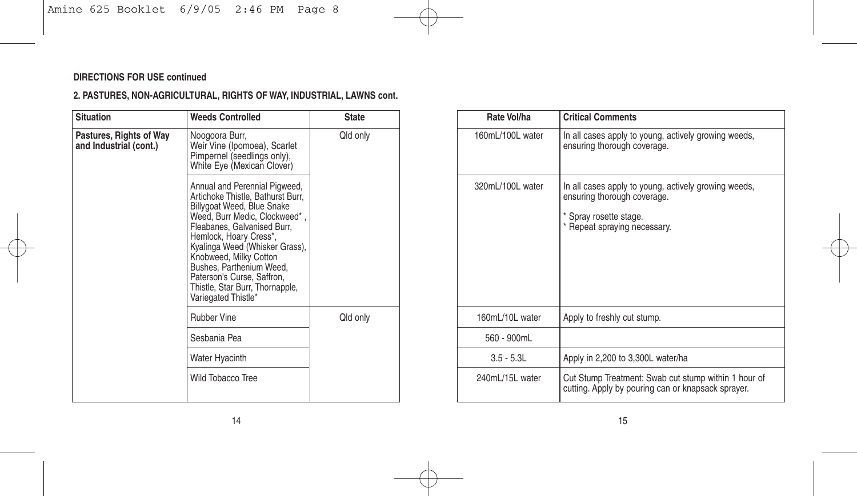#### **2. PASTURES, NON-AGRICULTURAL, RIGHTS OF WAY, INDUSTRIAL, LAWNS cont.**

| <b>Situation</b>                                  | <b>Weeds Controlled</b>                                                                                                                                                                                                                                                                                                                                                    | <b>State</b> | Rate Vol/ha      | <b>Critical Comments</b>                                                                    |
|---------------------------------------------------|----------------------------------------------------------------------------------------------------------------------------------------------------------------------------------------------------------------------------------------------------------------------------------------------------------------------------------------------------------------------------|--------------|------------------|---------------------------------------------------------------------------------------------|
| Pastures, Rights of Way<br>and Industrial (cont.) | Noogoora Burr,<br>Weir Vine (Ipomoea), Scarlet<br>Pimpernel (seedlings only),<br>White Eye (Mexican Clover)                                                                                                                                                                                                                                                                | Qld only     | 160mL/100L water | In all cases apply to<br>ensuring thorough o                                                |
|                                                   | Annual and Perennial Pigweed,<br>Artichoke Thistle, Bathurst Burr,<br>Billygoat Weed, Blue Snake<br>Weed, Burr Medic, Clockweed*,<br>Fleabanes, Galvanised Burr,<br>Hemlock, Hoary Cress*,<br>Kyalinga Weed (Whisker Grass),<br>Knobweed, Milky Cotton<br>Bushes, Parthenium Weed,<br>Paterson's Curse, Saffron,<br>Thistle, Star Burr, Thornapple,<br>Variegated Thistle* |              | 320mL/100L water | In all cases apply to<br>ensuring thorough o<br>* Spray rosette stag<br>* Repeat spraying n |
|                                                   | <b>Rubber Vine</b>                                                                                                                                                                                                                                                                                                                                                         | Qld only     | 160mL/10L water  | Apply to freshly cut                                                                        |
|                                                   | Sesbania Pea                                                                                                                                                                                                                                                                                                                                                               |              | 560 - 900mL      |                                                                                             |
|                                                   | Water Hyacinth                                                                                                                                                                                                                                                                                                                                                             |              | $3.5 - 5.3L$     | Apply in 2,200 to 3,                                                                        |
|                                                   | Wild Tobacco Tree                                                                                                                                                                                                                                                                                                                                                          |              | 240mL/15L water  | <b>Cut Stump Treatmer</b><br>cutting. Apply by po                                           |
|                                                   |                                                                                                                                                                                                                                                                                                                                                                            |              |                  |                                                                                             |

| <b>Rate Vol/ha</b> | <b>Critical Comments</b>                                                                                                                      |
|--------------------|-----------------------------------------------------------------------------------------------------------------------------------------------|
| 160ml /100L water  | In all cases apply to young, actively growing weeds,<br>ensuring thorough coverage.                                                           |
| 320mL/100L water   | In all cases apply to young, actively growing weeds,<br>ensuring thorough coverage.<br>* Spray rosette stage.<br>* Repeat spraying necessary. |
| 160mL/10L water    | Apply to freshly cut stump.                                                                                                                   |
| 560 - 900ml        |                                                                                                                                               |
| $3.5 - 5.3L$       | Apply in 2,200 to 3,300L water/ha                                                                                                             |
| 240ml /15l water   | Cut Stump Treatment: Swab cut stump within 1 hour of<br>cutting. Apply by pouring can or knapsack sprayer.                                    |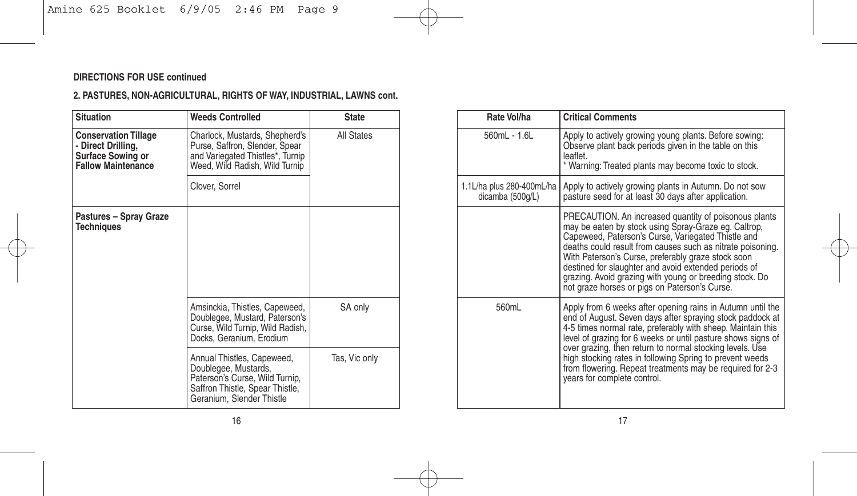#### **2. PASTURES, NON-AGRICULTURAL, RIGHTS OF WAY, INDUSTRIAL, LAWNS cont.**

| <b>Situation</b>                                                                                    | <b>Weeds Controlled</b>                                                                                                                              | <b>State</b>  | Rate Vol/ha                                   | <b>Critical Comments</b>                                                                                                                                                          |
|-----------------------------------------------------------------------------------------------------|------------------------------------------------------------------------------------------------------------------------------------------------------|---------------|-----------------------------------------------|-----------------------------------------------------------------------------------------------------------------------------------------------------------------------------------|
| <b>Conservation Tillage</b><br>- Direct Drilling,<br>Surface Sowing or<br><b>Fallow Maintenance</b> | Charlock, Mustards, Shepherd's<br>Purse, Saffron, Slender, Spear<br>and Variegated Thistles*, Turnip<br>Weed, Wild Radish, Wild Turnip               | All States    | 560mL - 1.6L                                  | Apply to actively gro<br>Observe plant back<br>leaflet.<br>* Warning: Treated p                                                                                                   |
|                                                                                                     | Clover, Sorrel                                                                                                                                       |               | 1.1L/ha plus 280-400mL/ha<br>dicamba (500g/L) | Apply to actively gro<br>pasture seed for at                                                                                                                                      |
| Pastures - Spray Graze<br><b>Techniques</b>                                                         |                                                                                                                                                      |               |                                               | PRECAUTION, An i<br>may be eaten by sto<br>Capeweed, Paterso<br>deaths could result<br>With Paterson's Cur<br>destined for slaught<br>grazing. Avoid grazi<br>not graze horses or |
|                                                                                                     | Amsinckia, Thistles, Capeweed,<br>Doublegee, Mustard, Paterson's<br>Curse, Wild Turnip, Wild Radish,<br>Docks, Geranium, Erodium                     | SA only       | 560mL                                         | Apply from 6 weeks<br>end of August. Seve<br>4-5 times normal rat<br>level of grazing for 6                                                                                       |
|                                                                                                     | Annual Thistles, Capeweed,<br>Doublegee, Mustards,<br>Paterson's Curse, Wild Turnip,<br>Saffron Thistle, Spear Thistle,<br>Geranium, Slender Thistle | Tas, Vic only |                                               | over grazing, then re<br>high stocking rates<br>from flowering. Rep<br>years for complete of                                                                                      |

| Rate Vol/ha                                   | <b>Critical Comments</b>                                                                                                                                                                                                                                                                                                                                                                                                                                                   |
|-----------------------------------------------|----------------------------------------------------------------------------------------------------------------------------------------------------------------------------------------------------------------------------------------------------------------------------------------------------------------------------------------------------------------------------------------------------------------------------------------------------------------------------|
| 560mL - 1.6L                                  | Apply to actively growing young plants. Before sowing:<br>Observe plant back periods given in the table on this<br>leaflet<br>* Warning: Treated plants may become toxic to stock.                                                                                                                                                                                                                                                                                         |
| 1.1L/ha plus 280-400mL/ha<br>dicamba (500g/L) | Apply to actively growing plants in Autumn. Do not sow<br>pasture seed for at least 30 days after application.                                                                                                                                                                                                                                                                                                                                                             |
|                                               | PRECAUTION. An increased quantity of poisonous plants<br>may be eaten by stock using Spray-Graze eg. Caltrop.<br>Capeweed, Paterson's Curse, Variegated Thistle and<br>deaths could result from causes such as nitrate poisoning.<br>With Paterson's Curse, preferably graze stock soon<br>destined for slaughter and avoid extended periods of<br>grazing. Avoid grazing with young or breeding stock. Do<br>not graze horses or pigs on Paterson's Curse.                |
| 560mL                                         | Apply from 6 weeks after opening rains in Autumn until the<br>end of August. Seven days after spraying stock paddock at<br>4-5 times normal rate, preferably with sheep. Maintain this<br>level of grazing for 6 weeks or until pasture shows signs of<br>over grazing, then return to normal stocking levels. Use<br>high stocking rates in following Spring to prevent weeds<br>from flowering. Repeat treatments may be required for 2-3<br>years for complete control. |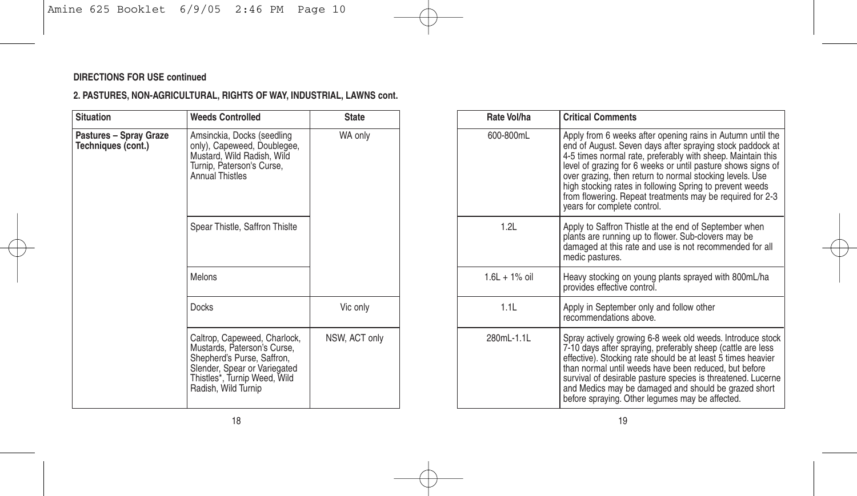#### **2. PASTURES, NON-AGRICULTURAL, RIGHTS OF WAY, INDUSTRIAL, LAWNS cont.**

| <b>Situation</b>                             | <b>Weeds Controlled</b>                                                                                                                                                          | <b>State</b>  | Rate Vol/ha     | <b>Critical Comments</b>                                                                                                                                                                    |
|----------------------------------------------|----------------------------------------------------------------------------------------------------------------------------------------------------------------------------------|---------------|-----------------|---------------------------------------------------------------------------------------------------------------------------------------------------------------------------------------------|
| Pastures - Spray Graze<br>Techniques (cont.) | Amsinckia, Docks (seedling<br>only), Capeweed, Doublegee,<br>Mustard, Wild Radish, Wild<br>Turnip, Paterson's Curse,<br><b>Annual Thistles</b>                                   | WA only       | 600-800mL       | Apply from 6 weeks<br>end of August. Seve<br>4-5 times normal rat<br>level of grazing for 6<br>over grazing, then re<br>high stocking rates<br>from flowering. Rep<br>years for complete of |
|                                              | Spear Thistle, Saffron Thislte                                                                                                                                                   |               | 1.2L            | Apply to Saffron Thi<br>plants are running u<br>damaged at this rate<br>medic pastures.                                                                                                     |
|                                              | Melons                                                                                                                                                                           |               | $1.6L + 1%$ oil | Heavy stocking on y<br>provides effective co                                                                                                                                                |
|                                              | <b>Docks</b>                                                                                                                                                                     | Vic only      | 1.1L            | Apply in September<br>recommendations a                                                                                                                                                     |
|                                              | Caltrop, Capeweed, Charlock,<br>Mustards, Paterson's Curse,<br>Shepherd's Purse, Saffron,<br>Slender, Spear or Variegated<br>Thistles*, Turnip Weed, Wild<br>Radish, Wild Turnip | NSW, ACT only | 280mL-1.1L      | Spray actively growi<br>7-10 days after spra<br>effective). Stocking r<br>than normal until we<br>survival of desirable<br>and Medics may be<br>before spraying. Oth                        |

| Rate Vol/ha      | <b>Critical Comments</b>                                                                                                                                                                                                                                                                                                                                                                                                                                                   |
|------------------|----------------------------------------------------------------------------------------------------------------------------------------------------------------------------------------------------------------------------------------------------------------------------------------------------------------------------------------------------------------------------------------------------------------------------------------------------------------------------|
| 600-800mL        | Apply from 6 weeks after opening rains in Autumn until the<br>end of August. Seven days after spraying stock paddock at<br>4-5 times normal rate, preferably with sheep. Maintain this<br>level of grazing for 6 weeks or until pasture shows signs of<br>over grazing, then return to normal stocking levels. Use<br>high stocking rates in following Spring to prevent weeds<br>from flowering. Repeat treatments may be required for 2-3<br>years for complete control. |
| 1.2L             | Apply to Saffron Thistle at the end of September when<br>plants are running up to flower. Sub-clovers may be<br>damaged at this rate and use is not recommended for all<br>medic pastures.                                                                                                                                                                                                                                                                                 |
| $1.61 + 1\%$ oil | Heavy stocking on young plants sprayed with 800mL/ha<br>provides effective control.                                                                                                                                                                                                                                                                                                                                                                                        |
| 1.1L             | Apply in September only and follow other<br>recommendations above.                                                                                                                                                                                                                                                                                                                                                                                                         |
| 280mL-1.1L       | Spray actively growing 6-8 week old weeds. Introduce stock<br>7-10 days after spraying, preferably sheep (cattle are less<br>effective). Stocking rate should be at least 5 times heavier<br>than normal until weeds have been reduced, but before<br>survival of desirable pasture species is threatened. Lucerne<br>and Medics may be damaged and should be grazed short<br>before spraying. Other legumes may be affected.                                              |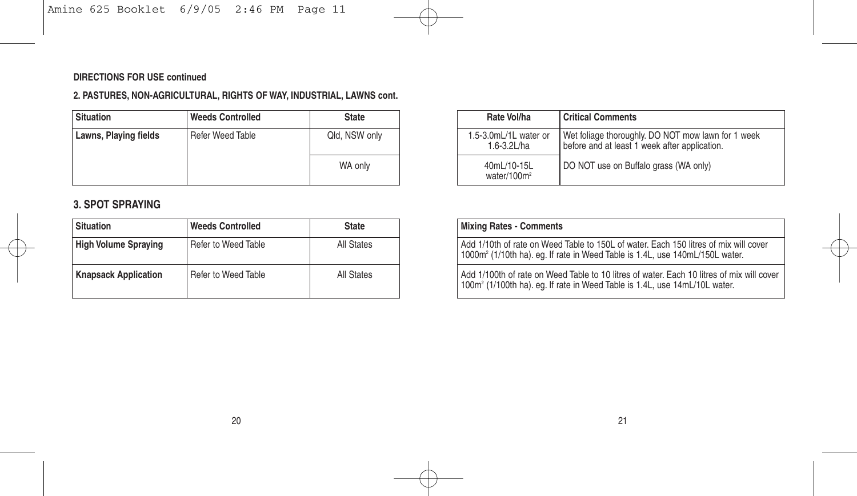### **2. PASTURES, NON-AGRICULTURAL, RIGHTS OF WAY, INDUSTRIAL, LAWNS cont.**

| Situation             | <b>Weeds Controlled</b> | <b>State</b>  | Rate Vol/ha                          | <b>Critical Comments</b>                        |
|-----------------------|-------------------------|---------------|--------------------------------------|-------------------------------------------------|
| Lawns, Playing fields | Refer Weed Table        | Qld. NSW only | 1.5-3.0mL/1L water or<br>1.6-3.2L/ha | Wet foliage thorough<br>l before and at least 1 |
|                       |                         | WA only       | 40mL/10-15L<br>water/100 $m2$        | I DO NOT use on But                             |

#### **3. SPOT SPRAYING**

| <b>Situation</b>            | <b>Weeds Controlled</b> | <b>State</b> | Mixing Rates - Comments                                                   |
|-----------------------------|-------------------------|--------------|---------------------------------------------------------------------------|
| <b>High Volume Spraying</b> | Refer to Weed Table     | All States   | Add 1/10th of rate on Weed<br>$1000m^2$ (1/10th ha), eq. If ra            |
| <b>Knapsack Application</b> | Refer to Weed Table     | All States   | Add 1/100th of rate on Wee<br>  100m <sup>2</sup> (1/100th ha). eq. If ra |

| Rate Vol/ha                            | <b>Critical Comments</b>                                                                            |
|----------------------------------------|-----------------------------------------------------------------------------------------------------|
| 1.5-3.0mL/1L water or<br>1.6-3.2L/ha   | Wet foliage thoroughly. DO NOT mow lawn for 1 week<br>before and at least 1 week after application. |
| 40mL/10-15L<br>water/100m <sup>2</sup> | DO NOT use on Buffalo grass (WA only)                                                               |

| Mixing Rates - Comments                                                                                                                                                             |
|-------------------------------------------------------------------------------------------------------------------------------------------------------------------------------------|
| Add 1/10th of rate on Weed Table to 150L of water. Each 150 litres of mix will cover<br>1000m <sup>2</sup> (1/10th ha), eq. If rate in Weed Table is 1.4L, use 140mL/150L water.    |
| Add 1/100th of rate on Weed Table to 10 litres of water. Each 10 litres of mix will cover<br>100m <sup>2</sup> (1/100th ha), eq. If rate in Weed Table is 1.4L, use 14mL/10L water. |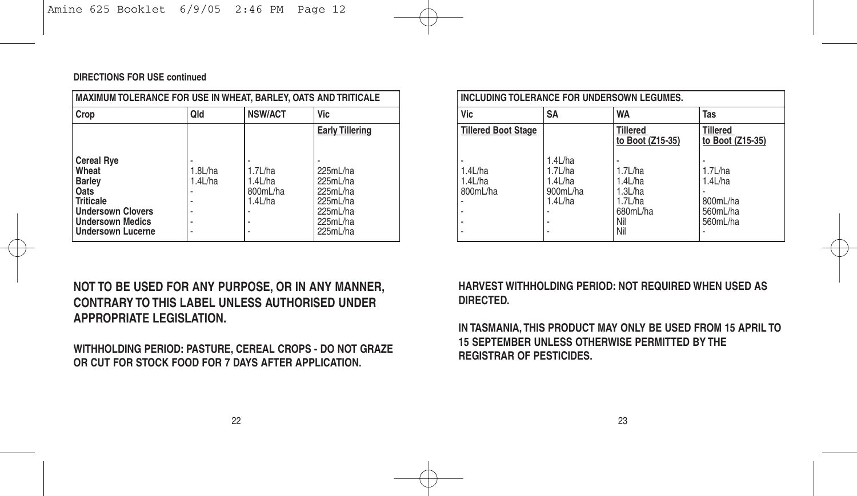| MAXIMUM TOLERANCE FOR USE IN WHEAT. BARLEY. OATS AND TRITICALE                                                                 |                    |                                           |                                                                                  |  | INCLUDING TOLERANCE FOR UNDERSOWN LEGUMES. |                                                            |                                                                    |                                  |
|--------------------------------------------------------------------------------------------------------------------------------|--------------------|-------------------------------------------|----------------------------------------------------------------------------------|--|--------------------------------------------|------------------------------------------------------------|--------------------------------------------------------------------|----------------------------------|
| Crop<br>Vic<br>Qld<br><b>NSW/ACT</b>                                                                                           |                    |                                           | Vic                                                                              |  | <b>SA</b>                                  |                                                            | Tas                                                                |                                  |
|                                                                                                                                |                    |                                           | <b>Early Tillering</b>                                                           |  | <b>Tillered Boot Stage</b>                 |                                                            | <b>Tillered</b><br>to Boot (Z15-35)                                | Till<br>to E                     |
| <b>Cereal Rye</b><br>Wheat<br>Barley<br>Oats<br>Triticale<br><b>Undersown Clovers</b><br>Undersown Medics<br>Undersown Lucerne | 1.8L/ha<br>1.4L/ha | ı.7L/ha<br>l.4L/ha<br>800mL/ha<br>1.4L/ha | 225mL/ha<br>225mL/ha<br>225mL/ha<br>225mL/ha<br>225mL/ha<br>225mL/ha<br>225mL/ha |  | 1.4L/ha<br>1.4L/ha<br>800mL/ha             | $1.4$ L/ha<br>1.7L/ha<br>1.4L/ha<br>900mL/ha<br>$1.4$ L/ha | 1.7L/ha<br>1.4L/ha<br>l.3L/ha<br>1.7L/ha<br>680mL/ha<br>Nil<br>Nil | 1.71<br>1.4<br>800<br>560<br>560 |

### **NOT TO BE USED FOR ANY PURPOSE, OR IN ANY MANNER, CONTRARY TO THIS LABEL UNLESS AUTHORISED UNDER APPROPRIATE LEGISLATION.**

**WITHHOLDING PERIOD: PASTURE, CEREAL CROPS - DO NOT GRAZE OR CUT FOR STOCK FOOD FOR 7 DAYS AFTER APPLICATION.**

| INCLUDING TOLERANCE FOR UNDERSOWN LEGUMES. |                                                         |                                                                    |                                                              |  |  |  |  |
|--------------------------------------------|---------------------------------------------------------|--------------------------------------------------------------------|--------------------------------------------------------------|--|--|--|--|
| Vic                                        | <b>SA</b>                                               | <b>WA</b>                                                          | Tas                                                          |  |  |  |  |
| <b>Tillered Boot Stage</b>                 |                                                         | <b>Tillered</b><br>to Boot (Z15-35)                                | Tillered<br>to Boot (Z15-35)                                 |  |  |  |  |
| 1.4L/ha<br>1.4L/ha<br>800mL/ha             | 1.4L/ha<br>$1.7$ L/ha<br>1.4L/ha<br>900mL/ha<br>1.4L/ha | 1.7L/ha<br>1.4L/ha<br>1.3L/ha<br>1.7L/ha<br>680mL/ha<br>Nil<br>Nil | $1.7$ L/ha<br>$1.4$ L/ha<br>800mL/ha<br>560mL/ha<br>560mL/ha |  |  |  |  |

**HARVEST WITHHOLDING PERIOD: NOT REQUIRED WHEN USED AS DIRECTED.**

**IN TASMANIA, THIS PRODUCT MAY ONLY BE USED FROM 15 APRIL TO 15 SEPTEMBER UNLESS OTHERWISE PERMITTED BY THE REGISTRAR OF PESTICIDES.**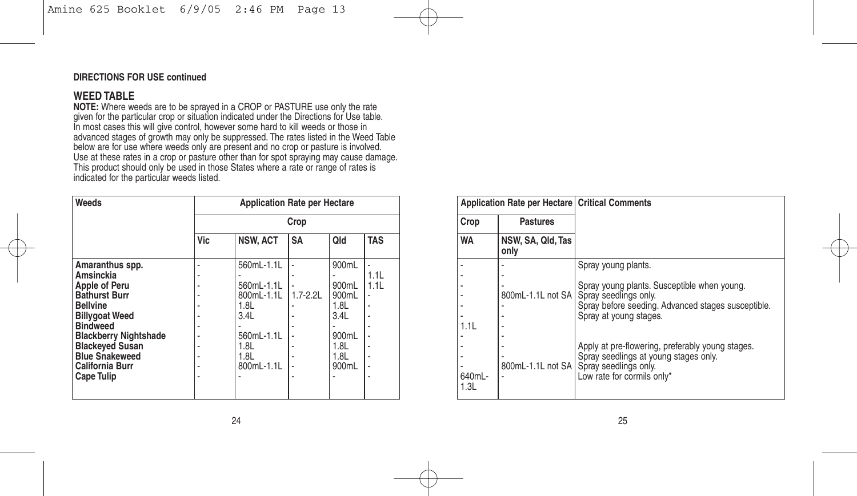#### **WEED TABLE**

**NOTE:** Where weeds are to be sprayed in a CROP or PASTURE use only the rate<br>given for the particular crop or situation indicated under the Directions for Use table.<br>In most cases this will give control, however some hard advanced stages of growth may only be suppressed. The rates listed in the Weed Table<br>below are for use where weeds only are present and no crop or pasture is involved.<br>Use at these rates in a crop or pasture other than for This product should only be used in those States where a rate or range of rates is indicated for the particular weeds listed.

| Weeds                                                                                                                                | <b>Application Rate per Hectare</b> |                                                                      |             |                                                  |              | <b>Application Rate per Hectare</b> |                           |
|--------------------------------------------------------------------------------------------------------------------------------------|-------------------------------------|----------------------------------------------------------------------|-------------|--------------------------------------------------|--------------|-------------------------------------|---------------------------|
|                                                                                                                                      |                                     |                                                                      | Crop        |                                                  |              | Crop                                | <b>Pastures</b>           |
|                                                                                                                                      | Vic                                 | <b>NSW, ACT</b>                                                      | <b>SA</b>   | Qld                                              | <b>TAS</b>   | <b>WA</b>                           | NSW, SA, Qld, Tas<br>only |
| Amaranthus spp.<br>Amsinckia<br>Apple of Peru<br><b>Bathurst Burr</b><br><b>Bellvine</b><br><b>Billygoat Weed</b><br><b>Bindweed</b> |                                     | 560mL-1.1L<br>560mL-1.1L<br>800mL-1.1L<br>1.8L<br>3.4L<br>560mL-1.1L | $1.7 - 2.2$ | 900mL<br>900mL<br>900mL<br>1.8L<br>3.4L<br>900mL | 1.1L<br>1.1L | ۰<br>٠<br>۰<br>1.1L                 | 800mL-1.1L not SA         |
| <b>Blackberry Nightshade</b><br><b>Blackeyed Susan</b><br><b>Blue Snakeweed</b><br><b>California Burr</b><br><b>Cape Tulip</b>       |                                     | 1.8L<br>1.8L<br>800mL-1.1L                                           |             | 1.8L<br>1.8L<br>900mL                            |              | 640mL-<br>1.3L                      | 800mL-1.1L not SA         |

| Application Rate per Hectare   Critical Comments |                           |                                                                                                                                                      |  |
|--------------------------------------------------|---------------------------|------------------------------------------------------------------------------------------------------------------------------------------------------|--|
| Crop                                             | <b>Pastures</b>           |                                                                                                                                                      |  |
| <b>WA</b>                                        | NSW, SA, Qld, Tas<br>only |                                                                                                                                                      |  |
|                                                  |                           | Spray young plants.                                                                                                                                  |  |
| 1.1L                                             | 800mL-1.1L not SA         | Spray young plants. Susceptible when young.<br>Spray seedlings only.<br>Spray before seeding. Advanced stages susceptible.<br>Spray at young stages. |  |
| 640mL-<br>1.3L                                   | 800mL-1.1L not SA         | Apply at pre-flowering, preferably young stages.<br>Spray seedlings at young stages only.<br>Spray seedlings only.<br>Low rate for cormils only*     |  |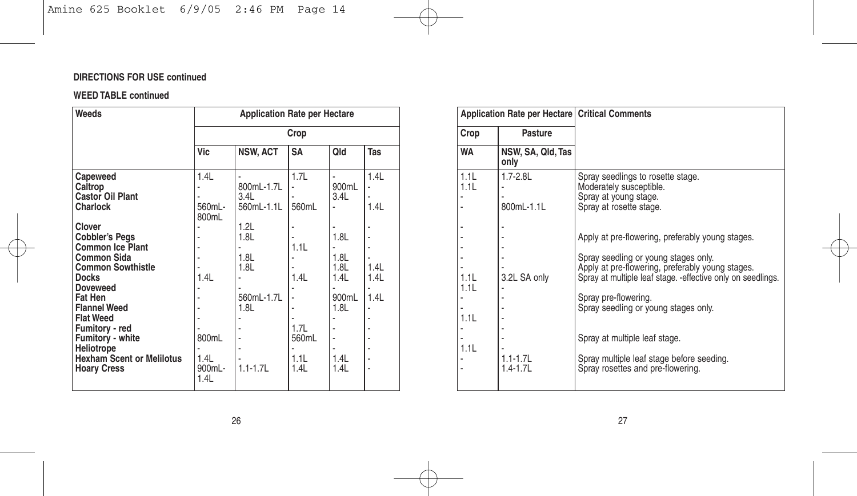| Weeds                                                                                                                                                                                                                                                                                                                                                                             |                                                            | <b>Application Rate per Hectare</b>                                                                    |                                                                | <b>Application Rate per Hectare</b>                                            |                                      |                                              |                                                                             |
|-----------------------------------------------------------------------------------------------------------------------------------------------------------------------------------------------------------------------------------------------------------------------------------------------------------------------------------------------------------------------------------|------------------------------------------------------------|--------------------------------------------------------------------------------------------------------|----------------------------------------------------------------|--------------------------------------------------------------------------------|--------------------------------------|----------------------------------------------|-----------------------------------------------------------------------------|
|                                                                                                                                                                                                                                                                                                                                                                                   |                                                            |                                                                                                        | Crop                                                           |                                                                                |                                      | Crop                                         | <b>Pasture</b>                                                              |
|                                                                                                                                                                                                                                                                                                                                                                                   | Vic                                                        | <b>NSW, ACT</b>                                                                                        | <b>SA</b>                                                      | Qld                                                                            | Tas                                  | <b>WA</b>                                    | NSW, SA, Qld, Tas<br>only                                                   |
| Capeweed<br>Caltrop<br><b>Castor Oil Plant</b><br>Charlock<br>Clover<br><b>Cobbler's Peas</b><br><b>Common Ice Plant</b><br><b>Common Sida</b><br><b>Common Sowthistle</b><br><b>Docks</b><br><b>Doveweed</b><br>Fat Hen<br><b>Flannel Weed</b><br><b>Flat Weed</b><br>Fumitory - red<br>Fumitory - white<br>Heliotrope<br><b>Hexham Scent or Melilotus</b><br><b>Hoary Cress</b> | 1.4L<br>560mL-<br>800mL<br>1.4L<br>800mL<br>1.4L<br>900mL- | 800mL-1.7L<br>3.4L<br>560mL-1.1L<br>1.2L<br>1.8L<br>1.8L<br>1.8L<br>560mL-1.7L<br>1.8L<br>$1.1 - 1.7L$ | 1.7L<br>560mL<br>1.1L<br>1.4L<br>1.7L<br>560mL<br>1.1L<br>1.4L | 900mL<br>3.4L<br>1.8L<br>1.8L<br>1.8L<br>1.4L<br>900mL<br>1.8L<br>1.4L<br>1.4L | 1.4L<br>1.4L<br>1.4L<br>1.4L<br>1.4L | 1.1L<br>1.1L<br>1.1L<br>1.1L<br>1.1L<br>1.1L | $1.7 - 2.8$ L<br>800mL-1.1L<br>3.2L SA only<br>$1.1 - 1.7L$<br>$1.4 - 1.7L$ |
|                                                                                                                                                                                                                                                                                                                                                                                   | 1.4L                                                       |                                                                                                        |                                                                |                                                                                |                                      |                                              |                                                                             |

| Application Rate per Hectare   Critical Comments |                                                                             |                                                                                                                                                                                                                                                                                                                                                                                                                                                                                                                    |
|--------------------------------------------------|-----------------------------------------------------------------------------|--------------------------------------------------------------------------------------------------------------------------------------------------------------------------------------------------------------------------------------------------------------------------------------------------------------------------------------------------------------------------------------------------------------------------------------------------------------------------------------------------------------------|
| Crop                                             | Pasture                                                                     |                                                                                                                                                                                                                                                                                                                                                                                                                                                                                                                    |
| WA                                               | NSW, SA, Qld, Tas<br>only                                                   |                                                                                                                                                                                                                                                                                                                                                                                                                                                                                                                    |
| 1.1L<br>1.1L<br>1.1L<br>1.1L<br>1.1L<br>1.1L     | $1.7 - 2.8$ L<br>800mL-1.1L<br>3.2L SA only<br>$1.1 - 1.7L$<br>$1.4 - 1.7L$ | Spray seedlings to rosette stage.<br>Moderately susceptible.<br>Spray at young stage.<br>Spray at rosette stage.<br>Apply at pre-flowering, preferably young stages.<br>Spray seedling or young stages only.<br>Apply at pre-flowering, preferably young stages.<br>Spray at multiple leaf stage. -effective only on seedlings.<br>Spray pre-flowering.<br>Spray seedling or young stages only.<br>Spray at multiple leaf stage.<br>Spray multiple leaf stage before seeding.<br>Spray rosettes and pre-flowering. |
|                                                  |                                                                             |                                                                                                                                                                                                                                                                                                                                                                                                                                                                                                                    |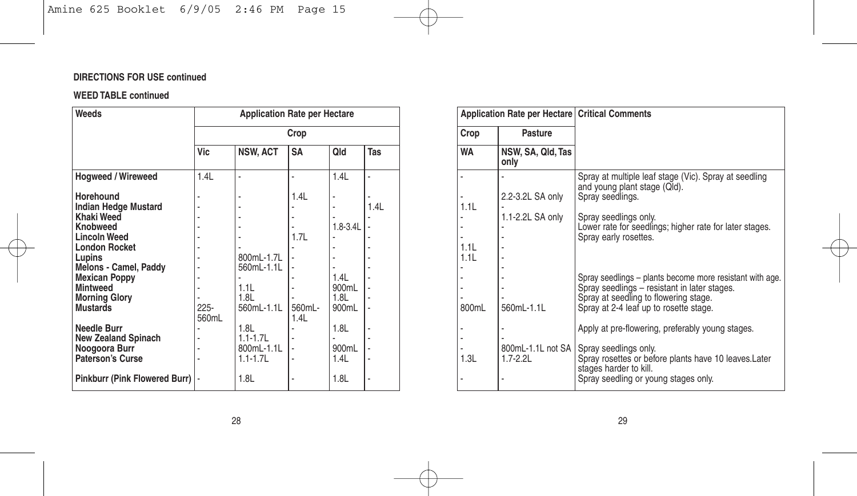| Weeds                                                                                                                                                                                                                                                                                                                                      | <b>Application Rate per Hectare</b><br>Crop |                                                                                              |                                |                                                                 |      | <b>Application Rate per Hectare</b>   |                                                                              |  |
|--------------------------------------------------------------------------------------------------------------------------------------------------------------------------------------------------------------------------------------------------------------------------------------------------------------------------------------------|---------------------------------------------|----------------------------------------------------------------------------------------------|--------------------------------|-----------------------------------------------------------------|------|---------------------------------------|------------------------------------------------------------------------------|--|
|                                                                                                                                                                                                                                                                                                                                            |                                             |                                                                                              |                                |                                                                 |      | Crop                                  | <b>Pasture</b>                                                               |  |
|                                                                                                                                                                                                                                                                                                                                            | Vic                                         | <b>NSW, ACT</b>                                                                              | <b>SA</b>                      | Qld                                                             | Tas  | <b>WA</b>                             | NSW, SA, Qld, Tas<br>only                                                    |  |
| <b>Hogweed / Wireweed</b>                                                                                                                                                                                                                                                                                                                  | 1.4L                                        |                                                                                              |                                | 1.4L                                                            |      |                                       |                                                                              |  |
| Horehound<br><b>Indian Hedge Mustard</b><br>Khaki Weed<br><b>Knobweed</b><br><b>Lincoln Weed</b><br><b>London Rocket</b><br>Lupins<br>Melons - Camel, Paddy<br><b>Mexican Poppy</b><br><b>Mintweed</b><br><b>Morning Glory</b><br>Mustards<br><b>Needle Burr</b><br><b>New Zealand Spinach</b><br>Noogoora Burr<br><b>Paterson's Curse</b> | $225 -$<br>560mL                            | 800mL-1.7L<br>560mL-1.1L<br>1.1L<br>1.8L<br>560mL-1.1L<br>1.8L<br>$1.1 - 1.7L$<br>800mL-1.1L | 1.4L<br>1.7L<br>560mL-<br>1.4L | $1.8 - 3.4L$<br>1.4L<br>900mL<br>1.8L<br>900mL<br>1.8L<br>900mL | 1.4L | 1.1L<br>1.1L<br>1.1L<br>800mL<br>1.3L | 2.2-3.2L SA only<br>1.1-2.2L SA only<br>۰<br>560mL-1.1L<br>800mL-1.1L not SA |  |
| Pinkburr (Pink Flowered Burr)  -                                                                                                                                                                                                                                                                                                           |                                             | $1.1 - 1.7L$<br>1.8L                                                                         |                                | 1.4L<br>1.8L                                                    |      |                                       | $1.7 - 2.2$                                                                  |  |
|                                                                                                                                                                                                                                                                                                                                            |                                             |                                                                                              |                                |                                                                 |      |                                       |                                                                              |  |

|                     | Application Rate per Hectare   Critical Comments |                                                                                                                                                                                             |
|---------------------|--------------------------------------------------|---------------------------------------------------------------------------------------------------------------------------------------------------------------------------------------------|
| Crop                | Pasture                                          |                                                                                                                                                                                             |
| WA                  | NSW, SA, Qld, Tas<br>only                        |                                                                                                                                                                                             |
|                     | 2.2-3.2L SA only                                 | Spray at multiple leaf stage (Vic). Spray at seedling<br>and young plant stage (Qld).<br>Spray seedlings.                                                                                   |
| 1.1L<br>111<br>1.1L | 1.1-2.2L SA only                                 | Spray seedlings only.<br>Lower rate for seedlings; higher rate for later stages.<br>Spray early rosettes.                                                                                   |
| 800mL               | 560mL-1.1L                                       | Spray seedlings - plants become more resistant with age.<br>Spray seedlings - resistant in later stages.<br>Spray at seedling to flowering stage.<br>Spray at 2-4 leaf up to rosette stage. |
|                     |                                                  | Apply at pre-flowering, preferably young stages.                                                                                                                                            |
| 1.3L                | 800mL-1.1L not SA<br>$1.7 - 2.2L$                | Spray seedlings only.<br>Spray rosettes or before plants have 10 leaves. Later<br>stages harder to kill.                                                                                    |
|                     |                                                  | Spray seedling or young stages only.                                                                                                                                                        |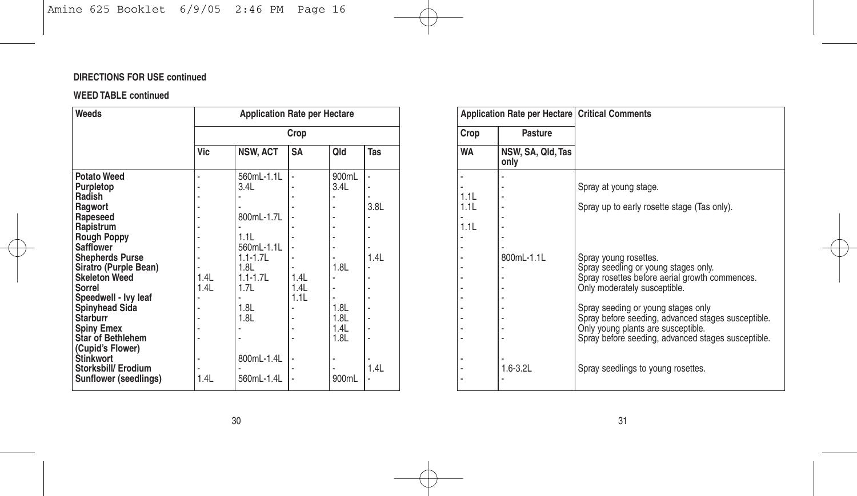| Weeds                                                                                                                                                                                                               | <b>Application Rate per Hectare</b><br>Crop |                                                              |                      |                                      |      |  | <b>Application Rate per Hectare</b> |                           |  |
|---------------------------------------------------------------------------------------------------------------------------------------------------------------------------------------------------------------------|---------------------------------------------|--------------------------------------------------------------|----------------------|--------------------------------------|------|--|-------------------------------------|---------------------------|--|
|                                                                                                                                                                                                                     |                                             |                                                              |                      |                                      |      |  | Crop                                | <b>Pasture</b>            |  |
|                                                                                                                                                                                                                     | Vic                                         | <b>NSW, ACT</b>                                              | <b>SA</b>            | Qld                                  | Tas  |  | <b>WA</b>                           | NSW, SA, Qld, Tas<br>only |  |
| <b>Potato Weed</b><br>Purpletop<br>Radish<br>Ragwort<br>Rapeseed<br>Rapistrum<br><b>Rough Poppy</b><br>Safflower                                                                                                    | ٠                                           | 560mL-1.1L<br>3.4L<br>800mL-1.7L<br>1.1L<br>560mL-1.1L       |                      | 900mL<br>3.4L                        | 3.8L |  | 1.1L<br>1.1L<br>1.1L                | ÷<br>٠                    |  |
| <b>Shepherds Purse</b><br>Siratro (Purple Bean)<br><b>Skeleton Weed</b><br>Sorrel<br>Speedwell - Ivy leaf<br>Spinyhead Sida<br><b>Starburr</b><br><b>Spiny Emex</b><br><b>Star of Bethlehem</b><br>(Cupid's Flower) | 1.4L<br>1.4L<br>٠                           | $1.1 - 1.7L$<br>1.8L<br>$1.1 - 1.7L$<br>1.7L<br>1.8L<br>1.8L | 1.4L<br>1.4L<br>1.1L | 1.8L<br>1.8L<br>1.8L<br>1.4L<br>1.8L | 1.4L |  | ۰                                   | 800mL-1.1L                |  |
| <b>Stinkwort</b><br>Storksbill/ Erodium<br>Sunflower (seedlings)                                                                                                                                                    | ٠<br>1.4L                                   | 800mL-1.4L<br>560mL-1.4L                                     |                      | 900mL                                | 1.4L |  | ۰<br>۰                              | $1.6 - 3.2L$<br>ä,        |  |

| Application Rate per Hectare   Critical Comments |                           |                                                                                                                                                                                      |
|--------------------------------------------------|---------------------------|--------------------------------------------------------------------------------------------------------------------------------------------------------------------------------------|
| Crop                                             | Pasture                   |                                                                                                                                                                                      |
| WA                                               | NSW, SA, Qld, Tas<br>only |                                                                                                                                                                                      |
| 1.1L<br>1.1L<br>1.1L                             |                           | Spray at young stage.<br>Spray up to early rosette stage (Tas only).                                                                                                                 |
|                                                  | 800mL-1.1L                | Spray young rosettes.<br>Spray seedling or young stages only.<br>Spray rosettes before aerial growth commences.<br>Only moderately susceptible.                                      |
|                                                  |                           | Spray seeding or young stages only<br>Spray before seeding, advanced stages susceptible.<br>Only young plants are susceptible.<br>Spray before seeding, advanced stages susceptible. |
|                                                  | $1.6 - 3.2L$              | Spray seedlings to young rosettes.                                                                                                                                                   |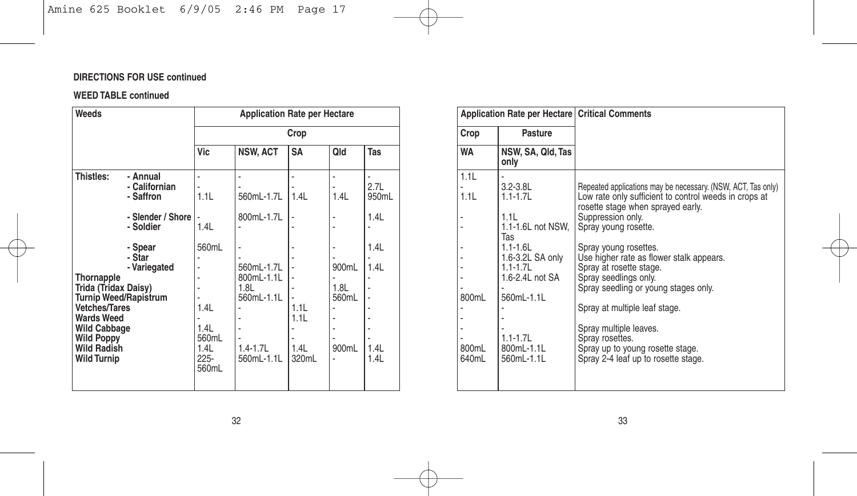| Weeds                                                                                                                                                                                |                                                                                                                                               | <b>Application Rate per Hectare</b><br>Crop                                |                                                                                                          |                                       |                                         |                                                       | <b>Application Rate per Hectare</b>     |                                                                                                                                                                                                   |  |
|--------------------------------------------------------------------------------------------------------------------------------------------------------------------------------------|-----------------------------------------------------------------------------------------------------------------------------------------------|----------------------------------------------------------------------------|----------------------------------------------------------------------------------------------------------|---------------------------------------|-----------------------------------------|-------------------------------------------------------|-----------------------------------------|---------------------------------------------------------------------------------------------------------------------------------------------------------------------------------------------------|--|
|                                                                                                                                                                                      |                                                                                                                                               |                                                                            |                                                                                                          |                                       |                                         |                                                       | Crop                                    | <b>Pasture</b>                                                                                                                                                                                    |  |
|                                                                                                                                                                                      |                                                                                                                                               | Vic                                                                        | <b>NSW, ACT</b>                                                                                          | <b>SA</b>                             | Qld                                     | Tas                                                   | <b>WA</b>                               | NSW, SA, Qld, Tas<br>only                                                                                                                                                                         |  |
| Thistles:<br>Thornapple<br>Trida (Tridax Daisy)<br><b>Vetches/Tares</b><br><b>Wards Weed</b><br><b>Wild Cabbage</b><br><b>Wild Poppy</b><br><b>Wild Radish</b><br><b>Wild Turnip</b> | - Annual<br>- Californian<br>- Saffron<br>- Slender / Shore<br>- Soldier<br>- Spear<br>- Star<br>- Variegated<br><b>Turnip Weed/Rapistrum</b> | 1.1L<br>1.4L<br>560mL<br>1.4L<br>1.4L<br>560mL<br>1.4L<br>$225 -$<br>560mL | 560mL-1.7L<br>800mL-1.7L<br>560mL-1.7L<br>800mL-1.1L<br>1.8L<br>560mL-1.1L<br>$1.4 - 1.7L$<br>560mL-1.1L | 1.4L<br>1.1L<br>1.1L<br>1.4L<br>320mL | 1.4L<br>900mL<br>1.8L<br>560mL<br>900mL | 2.7L<br>950mL<br>1.4L<br>1.4L<br>1.4L<br>1.4L<br>1.4L | 1.1L<br>1.1L<br>800mL<br>800mL<br>640mL | $3.2 - 3.8L$<br>$1.1 - 1.7L$<br>1.1L<br>1.1-1.6L not NSW,<br>Tas<br>$1.1 - 1.6L$<br>1.6-3.2L SA only<br>$1.1 - 1.7L$<br>1.6-2.4L not SA<br>560mL-1.1L<br>$1.1 - 1.7L$<br>800mL-1.1L<br>560mL-1.1L |  |

| Application Rate per Hectare   Critical Comments |                                                                                                                                                                                               |                                                                                                                                                                                                                                                                                                                                                                                                                                                                                                                                   |
|--------------------------------------------------|-----------------------------------------------------------------------------------------------------------------------------------------------------------------------------------------------|-----------------------------------------------------------------------------------------------------------------------------------------------------------------------------------------------------------------------------------------------------------------------------------------------------------------------------------------------------------------------------------------------------------------------------------------------------------------------------------------------------------------------------------|
| Crop                                             | Pasture                                                                                                                                                                                       |                                                                                                                                                                                                                                                                                                                                                                                                                                                                                                                                   |
| WA                                               | NSW, SA, Qld, Tas<br>only                                                                                                                                                                     |                                                                                                                                                                                                                                                                                                                                                                                                                                                                                                                                   |
| 1.1L<br>1.1L<br>800mL<br>800mL<br>640ml          | $3.2 - 3.8L$<br>$1.1 - 1.7L$<br>1.1L<br>1.1-1.6L not NSW.<br>Tas<br>$1.1 - 1.6$ L<br>1.6-3.2L SA only<br>$11-17$<br>1.6-2.4L not SA<br>560mL-1.1L<br>$1.1 - 1.7L$<br>800mL-1.1L<br>560mL-1.1L | Repeated applications may be necessary. (NSW, ACT, Tas only)<br>Low rate only sufficient to control weeds in crops at<br>rosette stage when sprayed early.<br>Suppression only.<br>Spray young rosette.<br>Spray young rosettes.<br>Use higher rate as flower stalk appears.<br>Spray at rosette stage.<br>Spray seedlings only.<br>Spray seedling or young stages only.<br>Spray at multiple leaf stage.<br>Spray multiple leaves.<br>Spray rosettes.<br>Spray up to young rosette stage.<br>Spray 2-4 leaf up to rosette stage. |
|                                                  |                                                                                                                                                                                               |                                                                                                                                                                                                                                                                                                                                                                                                                                                                                                                                   |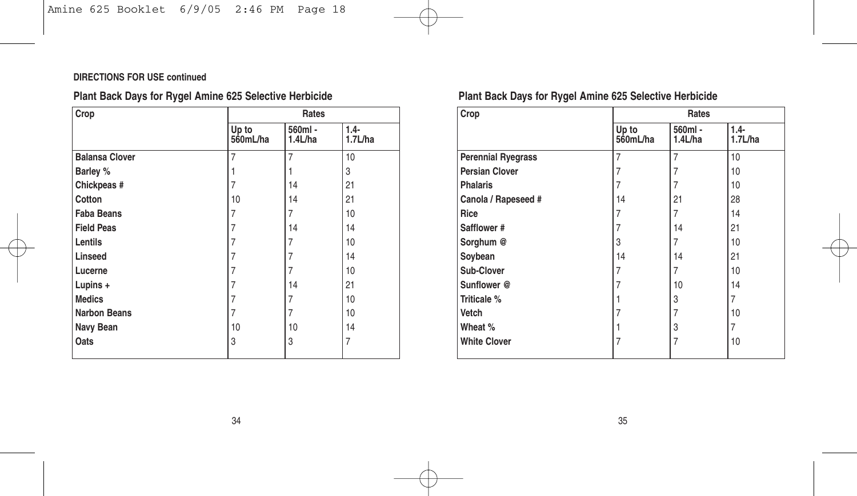#### **Plant Back Days for Rygel Amine 625 Selective Herbicide**

| Crop                  | Rates             |                       |                    |  |  |  |
|-----------------------|-------------------|-----------------------|--------------------|--|--|--|
|                       | Up to<br>560mL/ha | 560ml -<br>$1.4$ L/ha | $1.4 -$<br>1.7L/ha |  |  |  |
| <b>Balansa Clover</b> | 7                 | 7                     | 10                 |  |  |  |
| Barley %              |                   |                       | 3                  |  |  |  |
| Chickpeas #           | 7                 | 14                    | 21                 |  |  |  |
| Cotton                | 10                | 14                    | 21                 |  |  |  |
| <b>Faba Beans</b>     | 7                 | 7                     | 10                 |  |  |  |
| <b>Field Peas</b>     | 7                 | 14                    | 14                 |  |  |  |
| Lentils               | 7                 | 7                     | 10                 |  |  |  |
| Linseed               | 7                 | 7                     | 14                 |  |  |  |
| Lucerne               | 7                 | 7                     | 10                 |  |  |  |
| Lupins +              | 7                 | 14                    | 21                 |  |  |  |
| <b>Medics</b>         | 7                 | 7                     | 10                 |  |  |  |
| <b>Narbon Beans</b>   | 7                 | 7                     | 10                 |  |  |  |
| Navy Bean             | 10                | 10                    | 14                 |  |  |  |
| Oats                  | 3                 | 3                     | 7                  |  |  |  |

#### **Plant Back Days for Rygel Amine 625 Selective Herbicide**

| Crop                      | Rates             |                       |                    |  |  |
|---------------------------|-------------------|-----------------------|--------------------|--|--|
|                           | Up to<br>560mL/ha | 560ml -<br>$1.4$ L/ha | $1.4 -$<br>1.7L/ha |  |  |
| <b>Perennial Ryegrass</b> | 7                 | 7                     | 10                 |  |  |
| <b>Persian Clover</b>     | 7                 | 7                     | 10                 |  |  |
| <b>Phalaris</b>           | 7                 | 7                     | 10                 |  |  |
| Canola / Rapeseed #       | 14                | 21                    | 28                 |  |  |
| Rice                      | 7                 | 7                     | 14                 |  |  |
| Safflower #               | 7                 | 14                    | 21                 |  |  |
| Sorghum @                 | 3                 | 7                     | 10                 |  |  |
| Soybean                   | 14                | 14                    | 21                 |  |  |
| Sub-Clover                | 7                 | 7                     | 10                 |  |  |
| Sunflower @               | 7                 | 10                    | 14                 |  |  |
| Triticale %               |                   | 3                     | 7                  |  |  |
| Vetch                     |                   | 7                     | 10                 |  |  |
| Wheat %                   |                   | 3                     | 7                  |  |  |
| <b>White Clover</b>       | 7                 | 7                     | 10                 |  |  |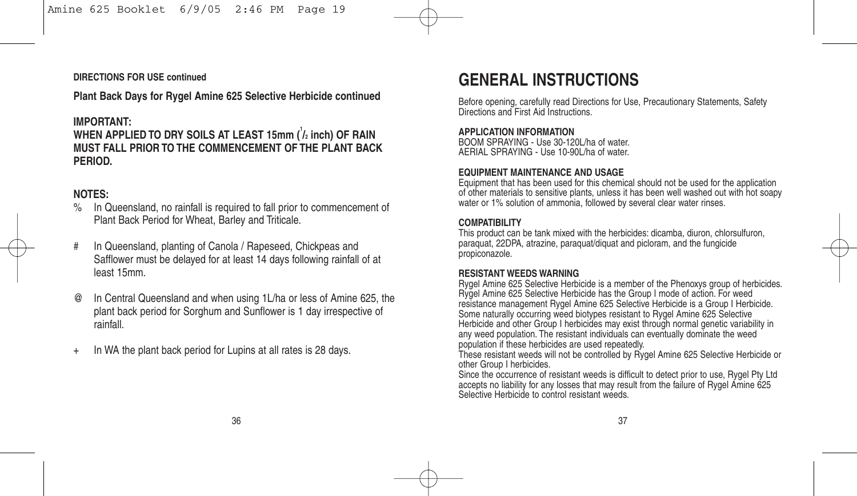**Plant Back Days for Rygel Amine 625 Selective Herbicide continued**

#### **IMPORTANT:**

**WHEN APPLIED TO DRY SOILS AT LEAST 15mm (1 /2 inch) OF RAIN MUST FALL PRIOR TO THE COMMENCEMENT OF THE PLANT BACK PERIOD.**

#### **NOTES:**

- In Queensland, no rainfall is required to fall prior to commencement of Plant Back Period for Wheat, Barley and Triticale.
- # In Queensland, planting of Canola / Rapeseed, Chickpeas and Safflower must be delayed for at least 14 days following rainfall of at least 15mm.
- @ In Central Queensland and when using 1L/ha or less of Amine 625, the plant back period for Sorghum and Sunflower is 1 day irrespective of rainfall.
- In WA the plant back period for Lupins at all rates is 28 days.

# **GENERAL INSTRUCTIONS**

Before opening, carefully read Directions for Use, Precautionary Statements, Safety Directions and First Aid Instructions.

#### **APPLICATION INFORMATION**

BOOM SPRAYING - Use 30-120L/ha of water. AERIAL SPRAYING - Use 10-90L/ha of water.

#### **EQUIPMENT MAINTENANCE AND USAGE**

Equipment that has been used for this chemical should not be used for the application of other materials to sensitive plants, unless it has been well washed out with hot soapy water or 1% solution of ammonia, followed by several clear water rinses.

#### **COMPATIBILITY**

This product can be tank mixed with the herbicides: dicamba, diuron, chlorsulfuron, paraquat, 22DPA, atrazine, paraquat/diquat and picloram, and the fungicide propiconazole.

#### **RESISTANT WEEDS WARNING**

Rygel Amine 625 Selective Herbicide is a member of the Phenoxys group of herbicides. Rygel Amine 625 Selective Herbicide has the Group I mode of action. For weed resistance management Rygel Amine 625 Selective Herbicide is a Group I Herbicide. Some naturally occurring weed biotypes resistant to Rygel Amine 625 Selective Herbicide and other Group I herbicides may exist through normal genetic variability in any weed population. The resistant individuals can eventually dominate the weed population if these herbicides are used repeatedly.

These resistant weeds will not be controlled by Rygel Amine 625 Selective Herbicide or other Group I herbicides.

Since the occurrence of resistant weeds is difficult to detect prior to use, Rygel Pty Ltd accepts no liability for any losses that may result from the failure of Rygel Amine 625 Selective Herbicide to control resistant weeds.